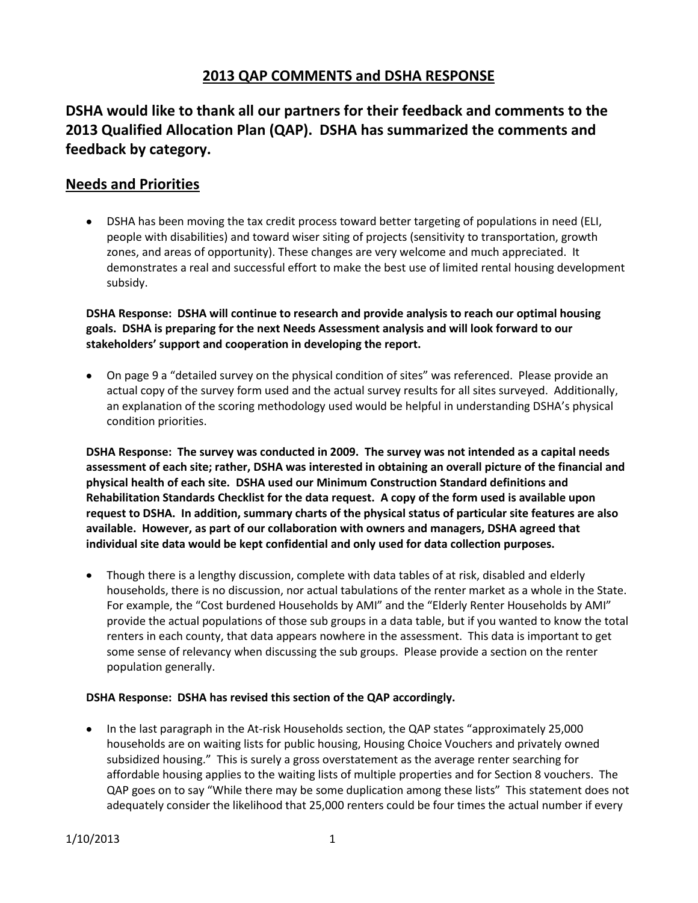## **2013 QAP COMMENTS and DSHA RESPONSE**

**DSHA would like to thank all our partners for their feedback and comments to the 2013 Qualified Allocation Plan (QAP). DSHA has summarized the comments and feedback by category.**

## **Needs and Priorities**

DSHA has been moving the tax credit process toward better targeting of populations in need (ELI, people with disabilities) and toward wiser siting of projects (sensitivity to transportation, growth zones, and areas of opportunity). These changes are very welcome and much appreciated. It demonstrates a real and successful effort to make the best use of limited rental housing development subsidy.

**DSHA Response: DSHA will continue to research and provide analysis to reach our optimal housing goals. DSHA is preparing for the next Needs Assessment analysis and will look forward to our stakeholders' support and cooperation in developing the report.**

On page 9 a "detailed survey on the physical condition of sites" was referenced. Please provide an actual copy of the survey form used and the actual survey results for all sites surveyed. Additionally, an explanation of the scoring methodology used would be helpful in understanding DSHA's physical condition priorities.

**DSHA Response: The survey was conducted in 2009. The survey was not intended as a capital needs assessment of each site; rather, DSHA was interested in obtaining an overall picture of the financial and physical health of each site. DSHA used our Minimum Construction Standard definitions and Rehabilitation Standards Checklist for the data request. A copy of the form used is available upon request to DSHA. In addition, summary charts of the physical status of particular site features are also available. However, as part of our collaboration with owners and managers, DSHA agreed that individual site data would be kept confidential and only used for data collection purposes.** 

Though there is a lengthy discussion, complete with data tables of at risk, disabled and elderly households, there is no discussion, nor actual tabulations of the renter market as a whole in the State. For example, the "Cost burdened Households by AMI" and the "Elderly Renter Households by AMI" provide the actual populations of those sub groups in a data table, but if you wanted to know the total renters in each county, that data appears nowhere in the assessment. This data is important to get some sense of relevancy when discussing the sub groups. Please provide a section on the renter population generally.

### **DSHA Response: DSHA has revised this section of the QAP accordingly.**

• In the last paragraph in the At-risk Households section, the QAP states "approximately 25,000 households are on waiting lists for public housing, Housing Choice Vouchers and privately owned subsidized housing." This is surely a gross overstatement as the average renter searching for affordable housing applies to the waiting lists of multiple properties and for Section 8 vouchers. The QAP goes on to say "While there may be some duplication among these lists" This statement does not adequately consider the likelihood that 25,000 renters could be four times the actual number if every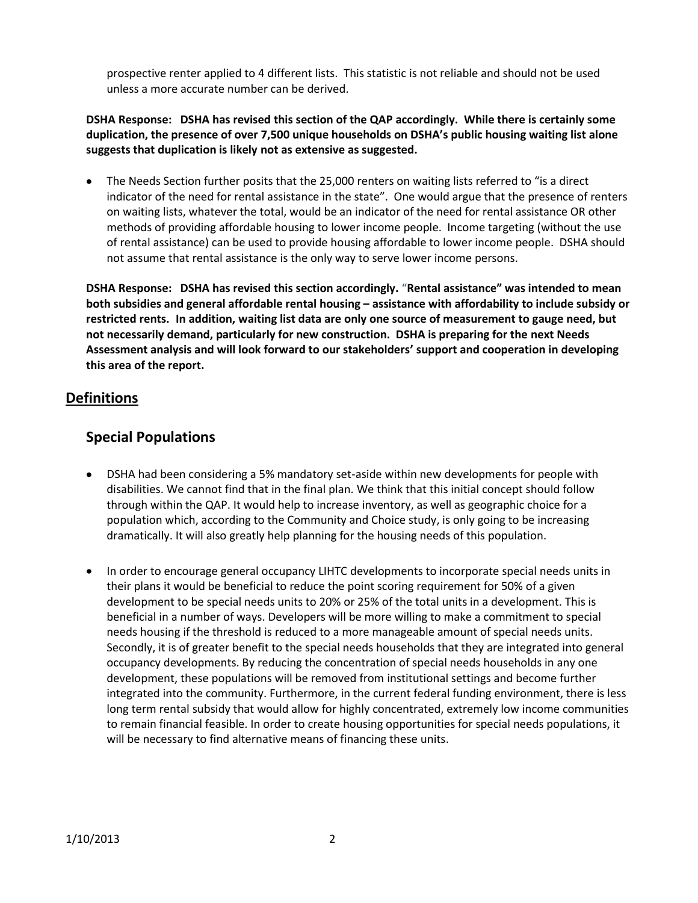prospective renter applied to 4 different lists. This statistic is not reliable and should not be used unless a more accurate number can be derived.

### **DSHA Response: DSHA has revised this section of the QAP accordingly. While there is certainly some duplication, the presence of over 7,500 unique households on DSHA's public housing waiting list alone suggests that duplication is likely not as extensive as suggested.**

The Needs Section further posits that the 25,000 renters on waiting lists referred to "is a direct  $\bullet$ indicator of the need for rental assistance in the state". One would argue that the presence of renters on waiting lists, whatever the total, would be an indicator of the need for rental assistance OR other methods of providing affordable housing to lower income people. Income targeting (without the use of rental assistance) can be used to provide housing affordable to lower income people. DSHA should not assume that rental assistance is the only way to serve lower income persons.

**DSHA Response: DSHA has revised this section accordingly.** "**Rental assistance" was intended to mean both subsidies and general affordable rental housing – assistance with affordability to include subsidy or restricted rents. In addition, waiting list data are only one source of measurement to gauge need, but not necessarily demand, particularly for new construction. DSHA is preparing for the next Needs Assessment analysis and will look forward to our stakeholders' support and cooperation in developing this area of the report.**

## **Definitions**

## **Special Populations**

- DSHA had been considering a 5% mandatory set-aside within new developments for people with disabilities. We cannot find that in the final plan. We think that this initial concept should follow through within the QAP. It would help to increase inventory, as well as geographic choice for a population which, according to the Community and Choice study, is only going to be increasing dramatically. It will also greatly help planning for the housing needs of this population.
- In order to encourage general occupancy LIHTC developments to incorporate special needs units in their plans it would be beneficial to reduce the point scoring requirement for 50% of a given development to be special needs units to 20% or 25% of the total units in a development. This is beneficial in a number of ways. Developers will be more willing to make a commitment to special needs housing if the threshold is reduced to a more manageable amount of special needs units. Secondly, it is of greater benefit to the special needs households that they are integrated into general occupancy developments. By reducing the concentration of special needs households in any one development, these populations will be removed from institutional settings and become further integrated into the community. Furthermore, in the current federal funding environment, there is less long term rental subsidy that would allow for highly concentrated, extremely low income communities to remain financial feasible. In order to create housing opportunities for special needs populations, it will be necessary to find alternative means of financing these units.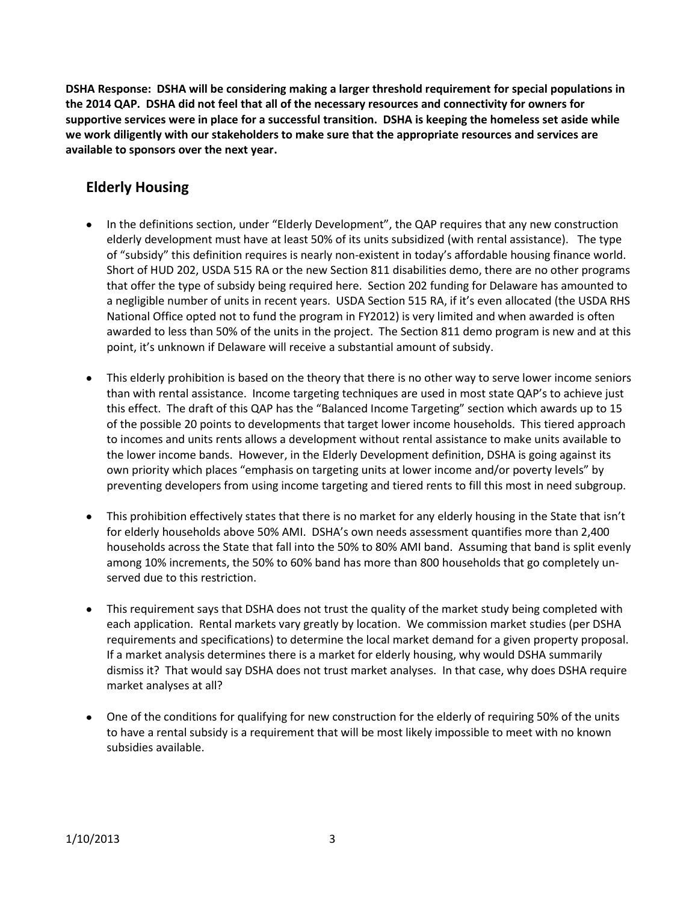**DSHA Response: DSHA will be considering making a larger threshold requirement for special populations in the 2014 QAP. DSHA did not feel that all of the necessary resources and connectivity for owners for supportive services were in place for a successful transition. DSHA is keeping the homeless set aside while we work diligently with our stakeholders to make sure that the appropriate resources and services are available to sponsors over the next year.**

# **Elderly Housing**

- In the definitions section, under "Elderly Development", the QAP requires that any new construction elderly development must have at least 50% of its units subsidized (with rental assistance). The type of "subsidy" this definition requires is nearly non-existent in today's affordable housing finance world. Short of HUD 202, USDA 515 RA or the new Section 811 disabilities demo, there are no other programs that offer the type of subsidy being required here. Section 202 funding for Delaware has amounted to a negligible number of units in recent years. USDA Section 515 RA, if it's even allocated (the USDA RHS National Office opted not to fund the program in FY2012) is very limited and when awarded is often awarded to less than 50% of the units in the project. The Section 811 demo program is new and at this point, it's unknown if Delaware will receive a substantial amount of subsidy.
- This elderly prohibition is based on the theory that there is no other way to serve lower income seniors than with rental assistance. Income targeting techniques are used in most state QAP's to achieve just this effect. The draft of this QAP has the "Balanced Income Targeting" section which awards up to 15 of the possible 20 points to developments that target lower income households. This tiered approach to incomes and units rents allows a development without rental assistance to make units available to the lower income bands. However, in the Elderly Development definition, DSHA is going against its own priority which places "emphasis on targeting units at lower income and/or poverty levels" by preventing developers from using income targeting and tiered rents to fill this most in need subgroup.
- This prohibition effectively states that there is no market for any elderly housing in the State that isn't for elderly households above 50% AMI. DSHA's own needs assessment quantifies more than 2,400 households across the State that fall into the 50% to 80% AMI band. Assuming that band is split evenly among 10% increments, the 50% to 60% band has more than 800 households that go completely unserved due to this restriction.
- This requirement says that DSHA does not trust the quality of the market study being completed with each application. Rental markets vary greatly by location. We commission market studies (per DSHA requirements and specifications) to determine the local market demand for a given property proposal. If a market analysis determines there is a market for elderly housing, why would DSHA summarily dismiss it? That would say DSHA does not trust market analyses. In that case, why does DSHA require market analyses at all?
- One of the conditions for qualifying for new construction for the elderly of requiring 50% of the units to have a rental subsidy is a requirement that will be most likely impossible to meet with no known subsidies available.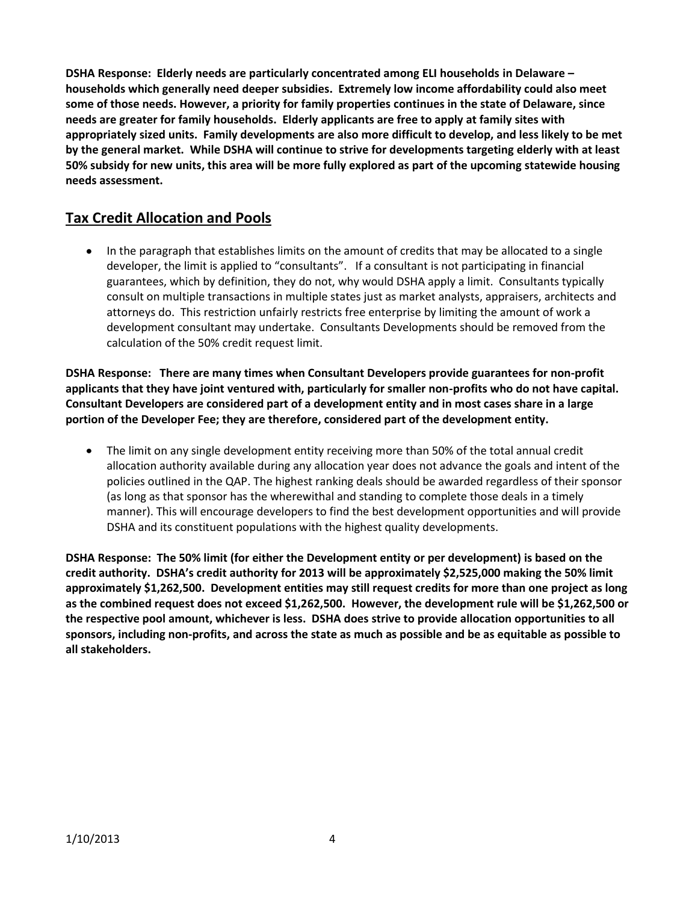**DSHA Response: Elderly needs are particularly concentrated among ELI households in Delaware – households which generally need deeper subsidies. Extremely low income affordability could also meet some of those needs. However, a priority for family properties continues in the state of Delaware, since needs are greater for family households. Elderly applicants are free to apply at family sites with appropriately sized units. Family developments are also more difficult to develop, and less likely to be met by the general market. While DSHA will continue to strive for developments targeting elderly with at least 50% subsidy for new units, this area will be more fully explored as part of the upcoming statewide housing needs assessment.**

# **Tax Credit Allocation and Pools**

In the paragraph that establishes limits on the amount of credits that may be allocated to a single  $\bullet$ developer, the limit is applied to "consultants". If a consultant is not participating in financial guarantees, which by definition, they do not, why would DSHA apply a limit. Consultants typically consult on multiple transactions in multiple states just as market analysts, appraisers, architects and attorneys do. This restriction unfairly restricts free enterprise by limiting the amount of work a development consultant may undertake. Consultants Developments should be removed from the calculation of the 50% credit request limit.

**DSHA Response: There are many times when Consultant Developers provide guarantees for non-profit applicants that they have joint ventured with, particularly for smaller non-profits who do not have capital. Consultant Developers are considered part of a development entity and in most cases share in a large portion of the Developer Fee; they are therefore, considered part of the development entity.** 

The limit on any single development entity receiving more than 50% of the total annual credit allocation authority available during any allocation year does not advance the goals and intent of the policies outlined in the QAP. The highest ranking deals should be awarded regardless of their sponsor (as long as that sponsor has the wherewithal and standing to complete those deals in a timely manner). This will encourage developers to find the best development opportunities and will provide DSHA and its constituent populations with the highest quality developments.

**DSHA Response: The 50% limit (for either the Development entity or per development) is based on the credit authority. DSHA's credit authority for 2013 will be approximately \$2,525,000 making the 50% limit approximately \$1,262,500. Development entities may still request credits for more than one project as long as the combined request does not exceed \$1,262,500. However, the development rule will be \$1,262,500 or the respective pool amount, whichever is less. DSHA does strive to provide allocation opportunities to all sponsors, including non-profits, and across the state as much as possible and be as equitable as possible to all stakeholders.**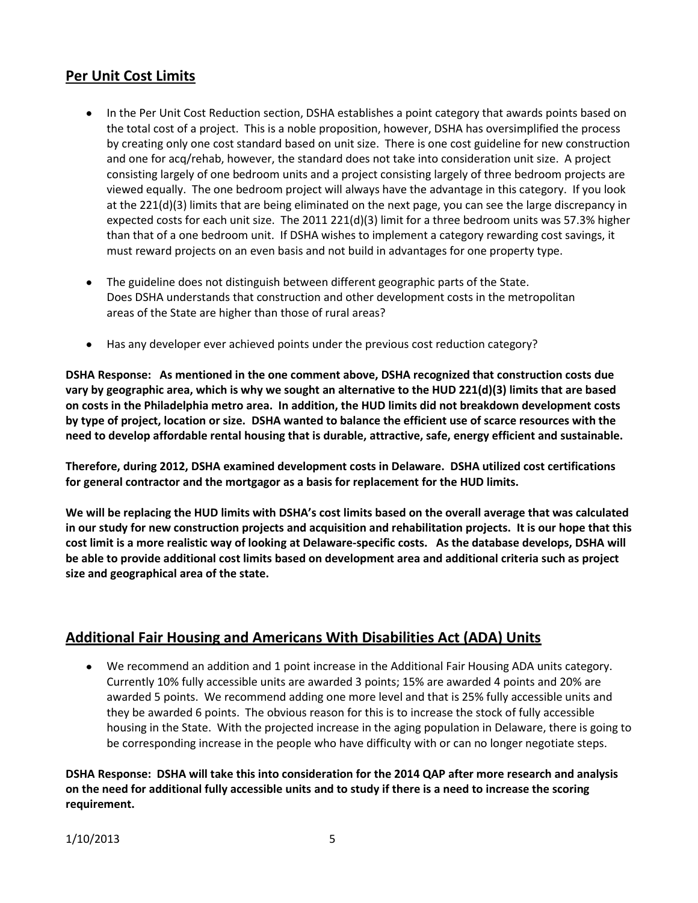## **Per Unit Cost Limits**

- In the Per Unit Cost Reduction section, DSHA establishes a point category that awards points based on the total cost of a project. This is a noble proposition, however, DSHA has oversimplified the process by creating only one cost standard based on unit size. There is one cost guideline for new construction and one for acq/rehab, however, the standard does not take into consideration unit size. A project consisting largely of one bedroom units and a project consisting largely of three bedroom projects are viewed equally. The one bedroom project will always have the advantage in this category. If you look at the 221(d)(3) limits that are being eliminated on the next page, you can see the large discrepancy in expected costs for each unit size. The 2011 221(d)(3) limit for a three bedroom units was 57.3% higher than that of a one bedroom unit. If DSHA wishes to implement a category rewarding cost savings, it must reward projects on an even basis and not build in advantages for one property type.
- The guideline does not distinguish between different geographic parts of the State. Does DSHA understands that construction and other development costs in the metropolitan areas of the State are higher than those of rural areas?
- Has any developer ever achieved points under the previous cost reduction category?

**DSHA Response: As mentioned in the one comment above, DSHA recognized that construction costs due vary by geographic area, which is why we sought an alternative to the HUD 221(d)(3) limits that are based on costs in the Philadelphia metro area. In addition, the HUD limits did not breakdown development costs by type of project, location or size. DSHA wanted to balance the efficient use of scarce resources with the need to develop affordable rental housing that is durable, attractive, safe, energy efficient and sustainable.**

**Therefore, during 2012, DSHA examined development costs in Delaware. DSHA utilized cost certifications for general contractor and the mortgagor as a basis for replacement for the HUD limits.** 

**We will be replacing the HUD limits with DSHA's cost limits based on the overall average that was calculated in our study for new construction projects and acquisition and rehabilitation projects. It is our hope that this cost limit is a more realistic way of looking at Delaware-specific costs. As the database develops, DSHA will be able to provide additional cost limits based on development area and additional criteria such as project size and geographical area of the state.**

## **Additional Fair Housing and Americans With Disabilities Act (ADA) Units**

We recommend an addition and 1 point increase in the Additional Fair Housing ADA units category. Currently 10% fully accessible units are awarded 3 points; 15% are awarded 4 points and 20% are awarded 5 points. We recommend adding one more level and that is 25% fully accessible units and they be awarded 6 points. The obvious reason for this is to increase the stock of fully accessible housing in the State. With the projected increase in the aging population in Delaware, there is going to be corresponding increase in the people who have difficulty with or can no longer negotiate steps.

**DSHA Response: DSHA will take this into consideration for the 2014 QAP after more research and analysis on the need for additional fully accessible units and to study if there is a need to increase the scoring requirement.**

1/10/2013 5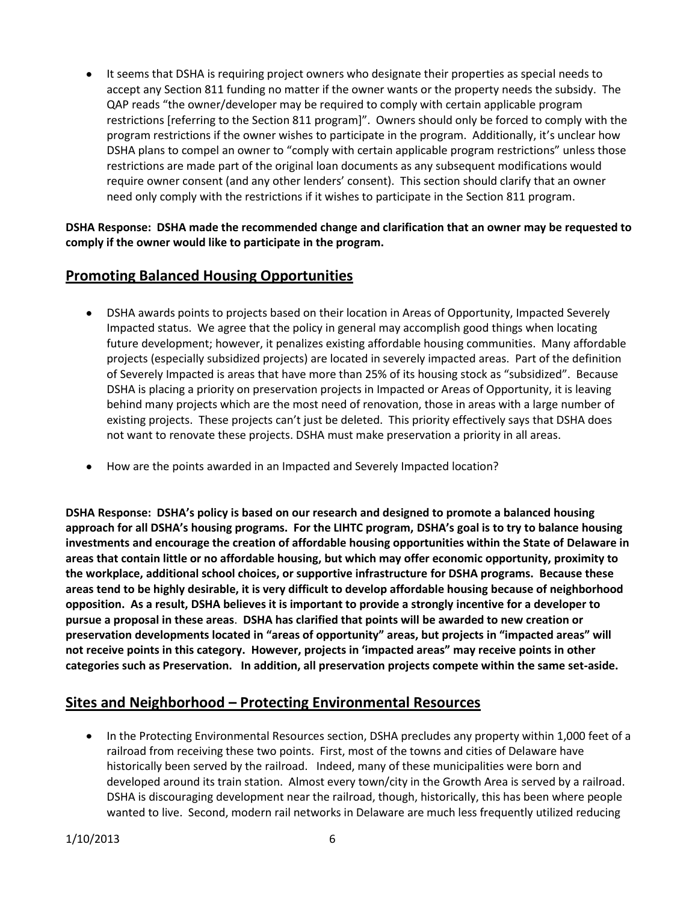It seems that DSHA is requiring project owners who designate their properties as special needs to  $\bullet$ accept any Section 811 funding no matter if the owner wants or the property needs the subsidy. The QAP reads "the owner/developer may be required to comply with certain applicable program restrictions [referring to the Section 811 program]". Owners should only be forced to comply with the program restrictions if the owner wishes to participate in the program. Additionally, it's unclear how DSHA plans to compel an owner to "comply with certain applicable program restrictions" unless those restrictions are made part of the original loan documents as any subsequent modifications would require owner consent (and any other lenders' consent). This section should clarify that an owner need only comply with the restrictions if it wishes to participate in the Section 811 program.

**DSHA Response: DSHA made the recommended change and clarification that an owner may be requested to comply if the owner would like to participate in the program.**

## **Promoting Balanced Housing Opportunities**

- DSHA awards points to projects based on their location in Areas of Opportunity, Impacted Severely Impacted status. We agree that the policy in general may accomplish good things when locating future development; however, it penalizes existing affordable housing communities. Many affordable projects (especially subsidized projects) are located in severely impacted areas. Part of the definition of Severely Impacted is areas that have more than 25% of its housing stock as "subsidized". Because DSHA is placing a priority on preservation projects in Impacted or Areas of Opportunity, it is leaving behind many projects which are the most need of renovation, those in areas with a large number of existing projects. These projects can't just be deleted. This priority effectively says that DSHA does not want to renovate these projects. DSHA must make preservation a priority in all areas.
- How are the points awarded in an Impacted and Severely Impacted location?

**DSHA Response: DSHA's policy is based on our research and designed to promote a balanced housing approach for all DSHA's housing programs. For the LIHTC program, DSHA's goal is to try to balance housing investments and encourage the creation of affordable housing opportunities within the State of Delaware in areas that contain little or no affordable housing, but which may offer economic opportunity, proximity to the workplace, additional school choices, or supportive infrastructure for DSHA programs. Because these areas tend to be highly desirable, it is very difficult to develop affordable housing because of neighborhood opposition. As a result, DSHA believes it is important to provide a strongly incentive for a developer to pursue a proposal in these areas**. **DSHA has clarified that points will be awarded to new creation or preservation developments located in "areas of opportunity" areas, but projects in "impacted areas" will not receive points in this category. However, projects in 'impacted areas" may receive points in other categories such as Preservation. In addition, all preservation projects compete within the same set-aside.**

## **Sites and Neighborhood – Protecting Environmental Resources**

In the Protecting Environmental Resources section, DSHA precludes any property within 1,000 feet of a  $\bullet$ railroad from receiving these two points. First, most of the towns and cities of Delaware have historically been served by the railroad. Indeed, many of these municipalities were born and developed around its train station. Almost every town/city in the Growth Area is served by a railroad. DSHA is discouraging development near the railroad, though, historically, this has been where people wanted to live. Second, modern rail networks in Delaware are much less frequently utilized reducing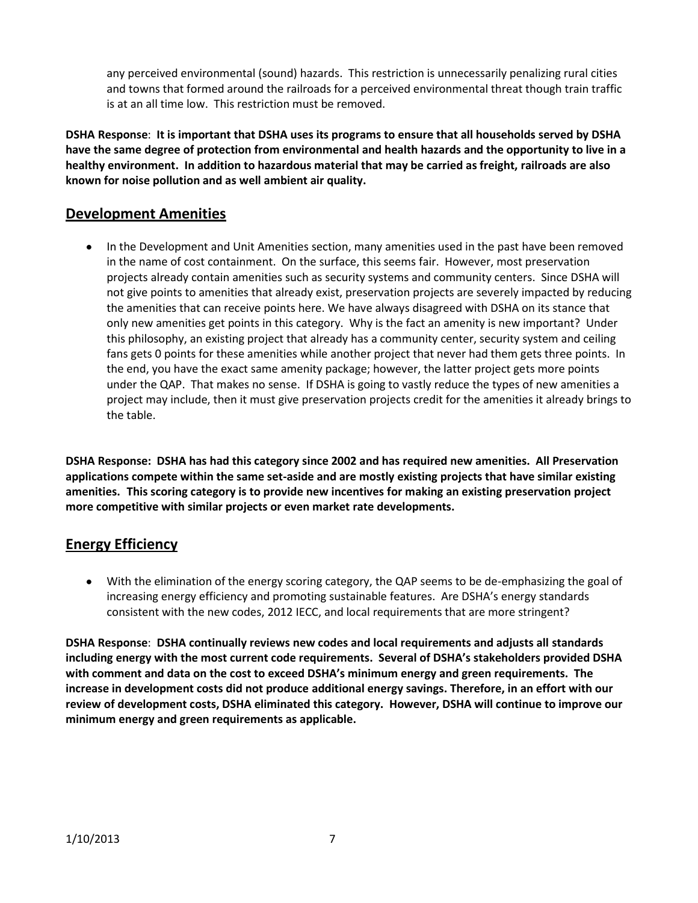any perceived environmental (sound) hazards. This restriction is unnecessarily penalizing rural cities and towns that formed around the railroads for a perceived environmental threat though train traffic is at an all time low. This restriction must be removed.

**DSHA Response**: **It is important that DSHA uses its programs to ensure that all households served by DSHA have the same degree of protection from environmental and health hazards and the opportunity to live in a healthy environment. In addition to hazardous material that may be carried as freight, railroads are also known for noise pollution and as well ambient air quality.** 

## **Development Amenities**

• In the Development and Unit Amenities section, many amenities used in the past have been removed in the name of cost containment. On the surface, this seems fair. However, most preservation projects already contain amenities such as security systems and community centers. Since DSHA will not give points to amenities that already exist, preservation projects are severely impacted by reducing the amenities that can receive points here. We have always disagreed with DSHA on its stance that only new amenities get points in this category. Why is the fact an amenity is new important? Under this philosophy, an existing project that already has a community center, security system and ceiling fans gets 0 points for these amenities while another project that never had them gets three points. In the end, you have the exact same amenity package; however, the latter project gets more points under the QAP. That makes no sense. If DSHA is going to vastly reduce the types of new amenities a project may include, then it must give preservation projects credit for the amenities it already brings to the table.

**DSHA Response: DSHA has had this category since 2002 and has required new amenities. All Preservation applications compete within the same set-aside and are mostly existing projects that have similar existing amenities. This scoring category is to provide new incentives for making an existing preservation project more competitive with similar projects or even market rate developments.** 

# **Energy Efficiency**

With the elimination of the energy scoring category, the QAP seems to be de-emphasizing the goal of increasing energy efficiency and promoting sustainable features. Are DSHA's energy standards consistent with the new codes, 2012 IECC, and local requirements that are more stringent?

**DSHA Response**: **DSHA continually reviews new codes and local requirements and adjusts all standards including energy with the most current code requirements. Several of DSHA's stakeholders provided DSHA with comment and data on the cost to exceed DSHA's minimum energy and green requirements. The increase in development costs did not produce additional energy savings. Therefore, in an effort with our review of development costs, DSHA eliminated this category. However, DSHA will continue to improve our minimum energy and green requirements as applicable.**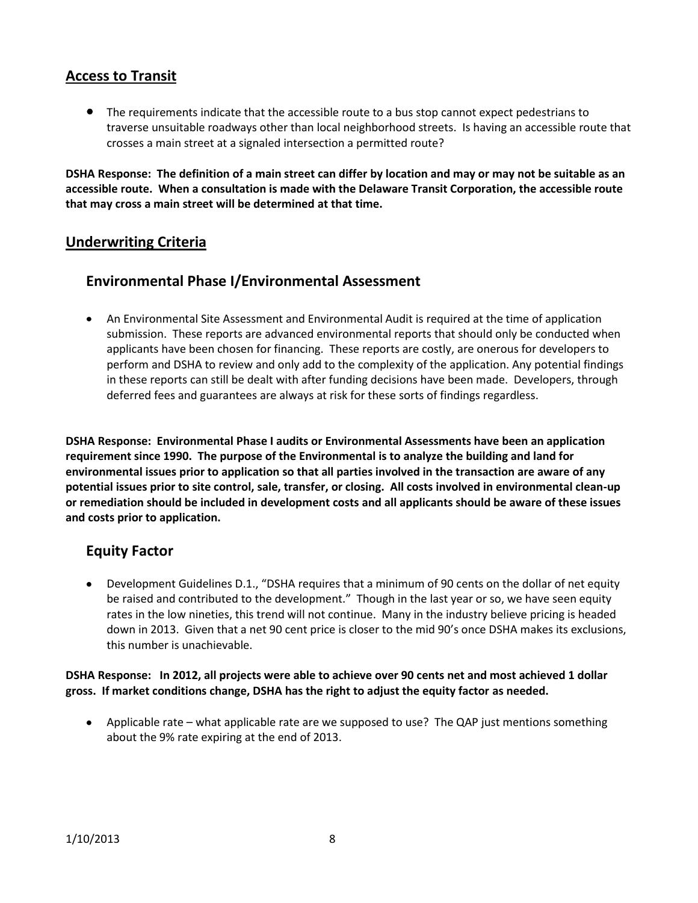### **Access to Transit**

The requirements indicate that the accessible route to a bus stop cannot expect pedestrians to traverse unsuitable roadways other than local neighborhood streets. Is having an accessible route that crosses a main street at a signaled intersection a permitted route?

**DSHA Response: The definition of a main street can differ by location and may or may not be suitable as an accessible route. When a consultation is made with the Delaware Transit Corporation, the accessible route that may cross a main street will be determined at that time.**

### **Underwriting Criteria**

## **Environmental Phase I/Environmental Assessment**

An Environmental Site Assessment and Environmental Audit is required at the time of application submission. These reports are advanced environmental reports that should only be conducted when applicants have been chosen for financing. These reports are costly, are onerous for developers to perform and DSHA to review and only add to the complexity of the application. Any potential findings in these reports can still be dealt with after funding decisions have been made. Developers, through deferred fees and guarantees are always at risk for these sorts of findings regardless.

**DSHA Response: Environmental Phase I audits or Environmental Assessments have been an application requirement since 1990. The purpose of the Environmental is to analyze the building and land for environmental issues prior to application so that all parties involved in the transaction are aware of any potential issues prior to site control, sale, transfer, or closing. All costs involved in environmental clean-up or remediation should be included in development costs and all applicants should be aware of these issues and costs prior to application.**

### **Equity Factor**

Development Guidelines D.1., "DSHA requires that a minimum of 90 cents on the dollar of net equity be raised and contributed to the development." Though in the last year or so, we have seen equity rates in the low nineties, this trend will not continue. Many in the industry believe pricing is headed down in 2013. Given that a net 90 cent price is closer to the mid 90's once DSHA makes its exclusions, this number is unachievable.

#### **DSHA Response: In 2012, all projects were able to achieve over 90 cents net and most achieved 1 dollar gross. If market conditions change, DSHA has the right to adjust the equity factor as needed.**

• Applicable rate – what applicable rate are we supposed to use? The QAP just mentions something about the 9% rate expiring at the end of 2013.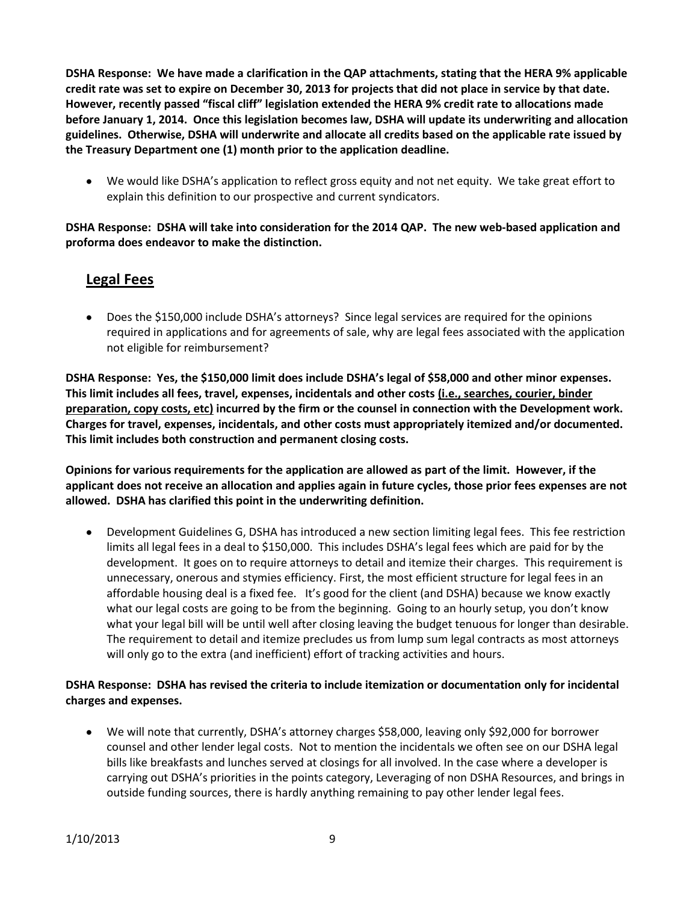**DSHA Response: We have made a clarification in the QAP attachments, stating that the HERA 9% applicable credit rate was set to expire on December 30, 2013 for projects that did not place in service by that date. However, recently passed "fiscal cliff" legislation extended the HERA 9% credit rate to allocations made before January 1, 2014. Once this legislation becomes law, DSHA will update its underwriting and allocation guidelines. Otherwise, DSHA will underwrite and allocate all credits based on the applicable rate issued by the Treasury Department one (1) month prior to the application deadline.**

We would like DSHA's application to reflect gross equity and not net equity. We take great effort to explain this definition to our prospective and current syndicators.

**DSHA Response: DSHA will take into consideration for the 2014 QAP. The new web-based application and proforma does endeavor to make the distinction.**

### **Legal Fees**

Does the \$150,000 include DSHA's attorneys? Since legal services are required for the opinions required in applications and for agreements of sale, why are legal fees associated with the application not eligible for reimbursement?

**DSHA Response: Yes, the \$150,000 limit does include DSHA's legal of \$58,000 and other minor expenses. This limit includes all fees, travel, expenses, incidentals and other costs (i.e., searches, courier, binder preparation, copy costs, etc) incurred by the firm or the counsel in connection with the Development work. Charges for travel, expenses, incidentals, and other costs must appropriately itemized and/or documented. This limit includes both construction and permanent closing costs.** 

**Opinions for various requirements for the application are allowed as part of the limit. However, if the applicant does not receive an allocation and applies again in future cycles, those prior fees expenses are not allowed. DSHA has clarified this point in the underwriting definition.**

Development Guidelines G, DSHA has introduced a new section limiting legal fees. This fee restriction limits all legal fees in a deal to \$150,000. This includes DSHA's legal fees which are paid for by the development. It goes on to require attorneys to detail and itemize their charges. This requirement is unnecessary, onerous and stymies efficiency. First, the most efficient structure for legal fees in an affordable housing deal is a fixed fee. It's good for the client (and DSHA) because we know exactly what our legal costs are going to be from the beginning. Going to an hourly setup, you don't know what your legal bill will be until well after closing leaving the budget tenuous for longer than desirable. The requirement to detail and itemize precludes us from lump sum legal contracts as most attorneys will only go to the extra (and inefficient) effort of tracking activities and hours.

### **DSHA Response: DSHA has revised the criteria to include itemization or documentation only for incidental charges and expenses.**

We will note that currently, DSHA's attorney charges \$58,000, leaving only \$92,000 for borrower counsel and other lender legal costs. Not to mention the incidentals we often see on our DSHA legal bills like breakfasts and lunches served at closings for all involved. In the case where a developer is carrying out DSHA's priorities in the points category, Leveraging of non DSHA Resources, and brings in outside funding sources, there is hardly anything remaining to pay other lender legal fees.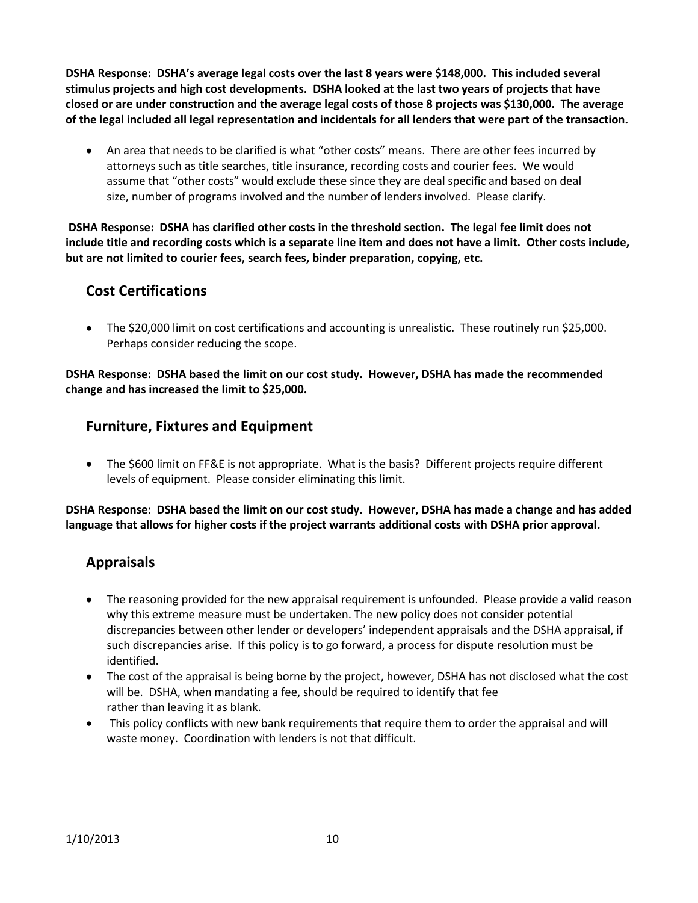**DSHA Response: DSHA's average legal costs over the last 8 years were \$148,000. This included several stimulus projects and high cost developments. DSHA looked at the last two years of projects that have closed or are under construction and the average legal costs of those 8 projects was \$130,000. The average of the legal included all legal representation and incidentals for all lenders that were part of the transaction.**

An area that needs to be clarified is what "other costs" means. There are other fees incurred by attorneys such as title searches, title insurance, recording costs and courier fees. We would assume that "other costs" would exclude these since they are deal specific and based on deal size, number of programs involved and the number of lenders involved. Please clarify.

**DSHA Response: DSHA has clarified other costs in the threshold section. The legal fee limit does not include title and recording costs which is a separate line item and does not have a limit. Other costs include, but are not limited to courier fees, search fees, binder preparation, copying, etc.**

# **Cost Certifications**

The \$20,000 limit on cost certifications and accounting is unrealistic. These routinely run \$25,000. Perhaps consider reducing the scope.

**DSHA Response: DSHA based the limit on our cost study. However, DSHA has made the recommended change and has increased the limit to \$25,000.**

## **Furniture, Fixtures and Equipment**

• The \$600 limit on FF&E is not appropriate. What is the basis? Different projects require different levels of equipment. Please consider eliminating this limit.

**DSHA Response: DSHA based the limit on our cost study. However, DSHA has made a change and has added language that allows for higher costs if the project warrants additional costs with DSHA prior approval.**

## **Appraisals**

- The reasoning provided for the new appraisal requirement is unfounded. Please provide a valid reason why this extreme measure must be undertaken. The new policy does not consider potential discrepancies between other lender or developers' independent appraisals and the DSHA appraisal, if such discrepancies arise. If this policy is to go forward, a process for dispute resolution must be identified.
- The cost of the appraisal is being borne by the project, however, DSHA has not disclosed what the cost will be. DSHA, when mandating a fee, should be required to identify that fee rather than leaving it as blank.
- $\bullet$ This policy conflicts with new bank requirements that require them to order the appraisal and will waste money. Coordination with lenders is not that difficult.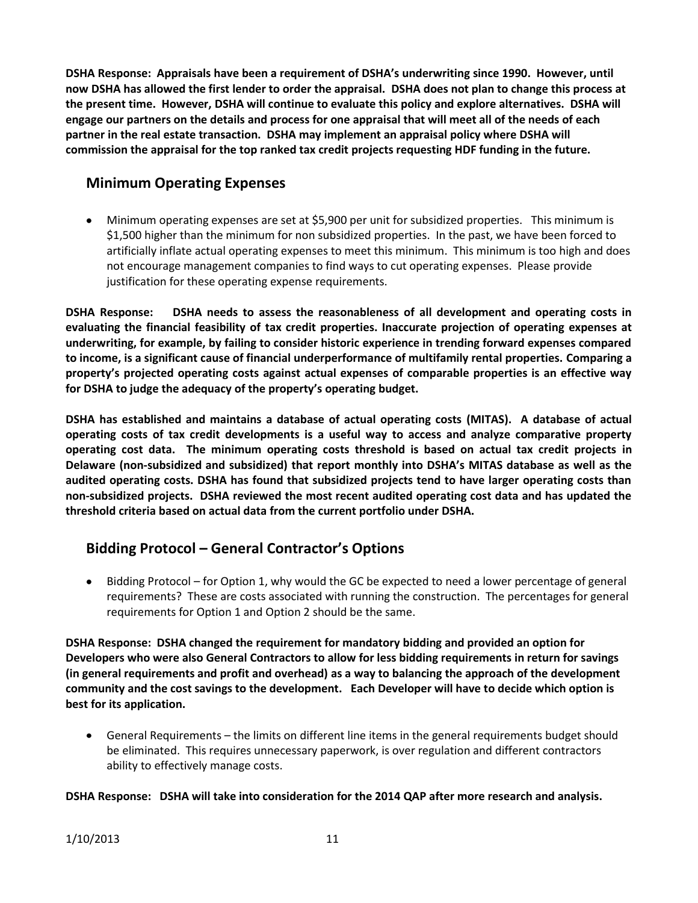**DSHA Response: Appraisals have been a requirement of DSHA's underwriting since 1990. However, until now DSHA has allowed the first lender to order the appraisal. DSHA does not plan to change this process at the present time. However, DSHA will continue to evaluate this policy and explore alternatives. DSHA will engage our partners on the details and process for one appraisal that will meet all of the needs of each partner in the real estate transaction. DSHA may implement an appraisal policy where DSHA will commission the appraisal for the top ranked tax credit projects requesting HDF funding in the future.** 

# **Minimum Operating Expenses**

Minimum operating expenses are set at \$5,900 per unit for subsidized properties. This minimum is \$1,500 higher than the minimum for non subsidized properties. In the past, we have been forced to artificially inflate actual operating expenses to meet this minimum. This minimum is too high and does not encourage management companies to find ways to cut operating expenses. Please provide justification for these operating expense requirements.

**DSHA Response: DSHA needs to assess the reasonableness of all development and operating costs in evaluating the financial feasibility of tax credit properties. Inaccurate projection of operating expenses at underwriting, for example, by failing to consider historic experience in trending forward expenses compared to income, is a significant cause of financial underperformance of multifamily rental properties. Comparing a property's projected operating costs against actual expenses of comparable properties is an effective way for DSHA to judge the adequacy of the property's operating budget.** 

**DSHA has established and maintains a database of actual operating costs (MITAS). A database of actual operating costs of tax credit developments is a useful way to access and analyze comparative property operating cost data. The minimum operating costs threshold is based on actual tax credit projects in Delaware (non-subsidized and subsidized) that report monthly into DSHA's MITAS database as well as the audited operating costs. DSHA has found that subsidized projects tend to have larger operating costs than non-subsidized projects. DSHA reviewed the most recent audited operating cost data and has updated the threshold criteria based on actual data from the current portfolio under DSHA.**

# **Bidding Protocol – General Contractor's Options**

Bidding Protocol – for Option 1, why would the GC be expected to need a lower percentage of general requirements? These are costs associated with running the construction. The percentages for general requirements for Option 1 and Option 2 should be the same.

**DSHA Response: DSHA changed the requirement for mandatory bidding and provided an option for Developers who were also General Contractors to allow for less bidding requirements in return for savings (in general requirements and profit and overhead) as a way to balancing the approach of the development community and the cost savings to the development. Each Developer will have to decide which option is best for its application.**

 $\bullet$ General Requirements – the limits on different line items in the general requirements budget should be eliminated. This requires unnecessary paperwork, is over regulation and different contractors ability to effectively manage costs.

### **DSHA Response: DSHA will take into consideration for the 2014 QAP after more research and analysis.**